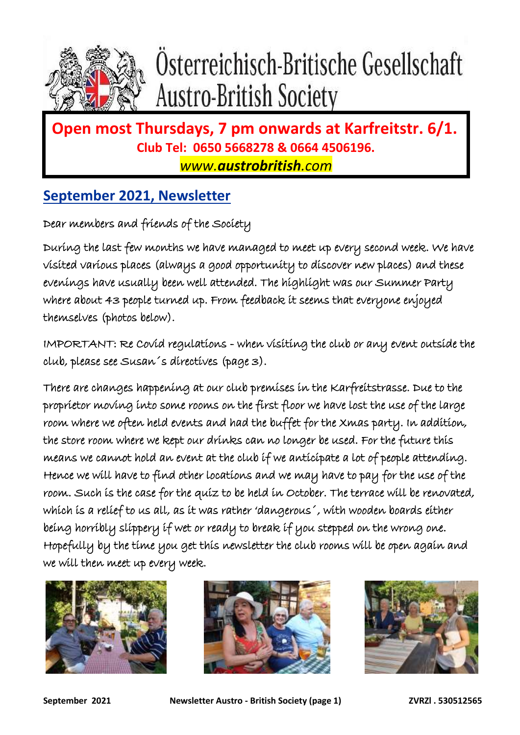

# Österreichisch-Britische Gesellschaft **Austro-British Society**

### **Open most Thursdays, 7 pm onwards at Karfreitstr. 6/1. Club Tel: 0650 5668278 & 0664 4506196.**

*www.austrobritish.com*

#### **September 2021, Newsletter**

Dear members and friends of the Society

During the last few months we have managed to meet up every second week. We have visited various places (always a good opportunity to discover new places) and these evenings have usually been well attended. The highlight was our Summer Party where about 43 people turned up. From feedback it seems that everyone enjoyed themselves (photos below).

IMPORTANT: Re Covid regulations - when visiting the club or any event outside the club, please see Susan´s directives (page 3).

There are changes happening at our club premises in the Karfreitstrasse. Due to the proprietor moving into some rooms on the first floor we have lost the use of the large room where we often held events and had the buffet for the Xmas party. In addition, the store room where we kept our drinks can no longer be used. For the future this means we cannot hold an event at the club if we anticipate a lot of people attending. Hence we will have to find other locations and we may have to pay for the use of the room. Such is the case for the quiz to be held in October. The terrace will be renovated, which is a relief to us all, as it was rather 'dangerous´, with wooden boards either being horribly slippery if wet or ready to break if you stepped on the wrong one. Hopefully by the time you get this newsletter the club rooms will be open again and we will then meet up every week.





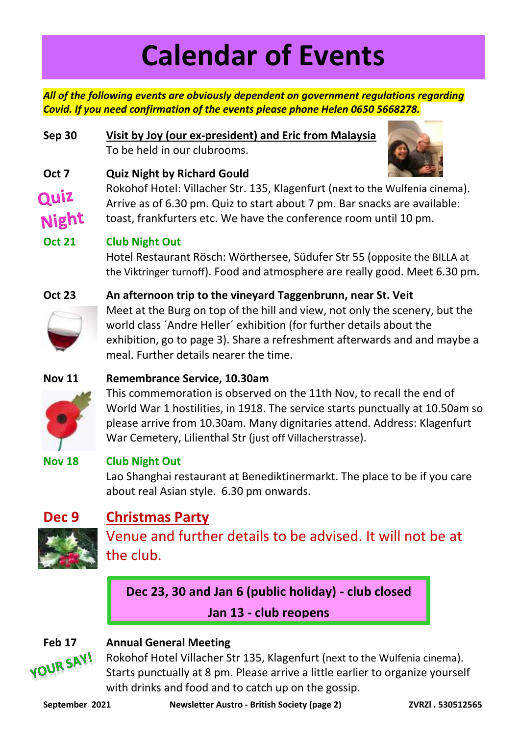# **Calendar of Events**

*All of the following events are obviously dependent on government regulations regarding Covid. If you need confirmation of the events please phone Helen 0650 5668278.*

**Sep 30 Visit by Joy (our ex-president) and Eric from Malaysia** To be held in our clubrooms.



#### **Oct 7 Quiz Night by Richard Gould** Rokohof Hotel: Villacher Str. 135, Klagenfurt (next to the Wulfenia cinema). Quiz Arrive as of 6.30 pm. Quiz to start about 7 pm. Bar snacks are available: Night toast, frankfurters etc. We have the conference room until 10 pm.

#### **Oct 21 Club Night Out**

Hotel Restaurant Rösch: Wörthersee, Südufer Str 55 (opposite the BILLA at the Viktringer turnoff). Food and atmosphere are really good. Meet 6.30 pm.



**Oct 23 An afternoon trip to the vineyard Taggenbrunn, near St. Veit** Meet at the Burg on top of the hill and view, not only the scenery, but the world class ´Andre Heller´ exhibition (for further details about the exhibition, go to page 3). Share a refreshment afterwards and and maybe a meal. Further details nearer the time.

#### **Nov 11 Remembrance Service, 10.30am**



This commemoration is observed on the 11th Nov, to recall the end of World War 1 hostilities, in 1918. The service starts punctually at 10.50am so please arrive from 10.30am. Many dignitaries attend. Address: Klagenfurt War Cemetery, Lilienthal Str (just off Villacherstrasse).

#### **Nov 18 Club Night Out**

Lao Shanghai restaurant at Benediktinermarkt. The place to be if you care about real Asian style. 6.30 pm onwards.

### **Dec 9 Christmas Party**



Venue and further details to be advised. It will not be at the club.

**Dec 23, 30 and Jan 6 (public holiday) - club closed**

**Jan 13 - club reopens**



**Feb 17 • Annual General Meeting<br>
<b>ROUR SAY!** Rokohof Hotel Villacher S Rokohof Hotel Villacher Str 135, Klagenfurt (next to the Wulfenia cinema). Starts punctually at 8 pm. Please arrive a little earlier to organize yourself with drinks and food and to catch up on the gossip.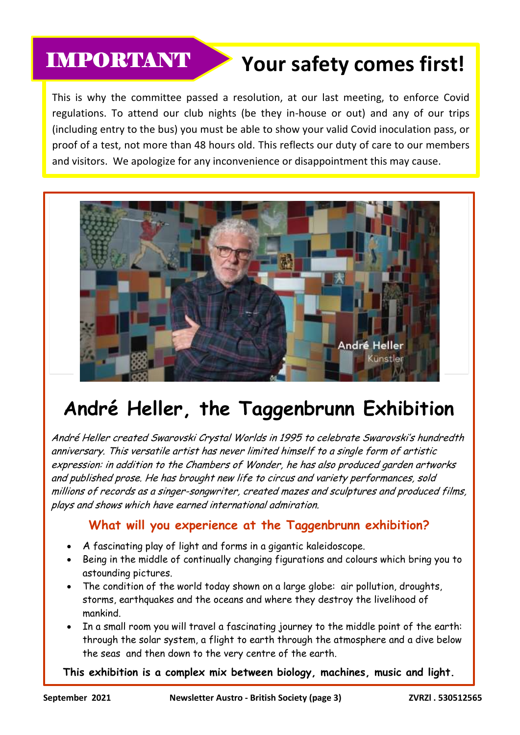### IMPORTANT

## **Your safety comes first!**

This is why the committee passed a resolution, at our last meeting, to enforce Covid regulations. To attend our club nights (be they in-house or out) and any of our trips (including entry to the bus) you must be able to show your valid Covid inoculation pass, or proof of a test, not more than 48 hours old. This reflects our duty of care to our members and visitors. We apologize for any inconvenience or disappointment this may cause.



# **André Heller, the Taggenbrunn Exhibition**

André Heller created Swarovski Crystal Worlds in 1995 to celebrate Swarovski's hundredth anniversary. This versatile artist has never limited himself to a single form of artistic expression: in addition to the Chambers of Wonder, he has also produced garden artworks and published prose. He has brought new life to circus and variety performances, sold millions of records as a singer-songwriter, created mazes and sculptures and produced films, plays and shows which have earned international admiration.

#### **What will you experience at the Taggenbrunn exhibition?**

- A fascinating play of light and forms in a gigantic kaleidoscope.
- Being in the middle of continually changing figurations and colours which bring you to astounding pictures.
- The condition of the world today shown on a large globe: air pollution, droughts, storms, earthquakes and the oceans and where they destroy the livelihood of mankind.
- In a small room you will travel a fascinating journey to the middle point of the earth: through the solar system, a flight to earth through the atmosphere and a dive below the seas and then down to the very centre of the earth.

**This exhibition is a complex mix between biology, machines, music and light.**